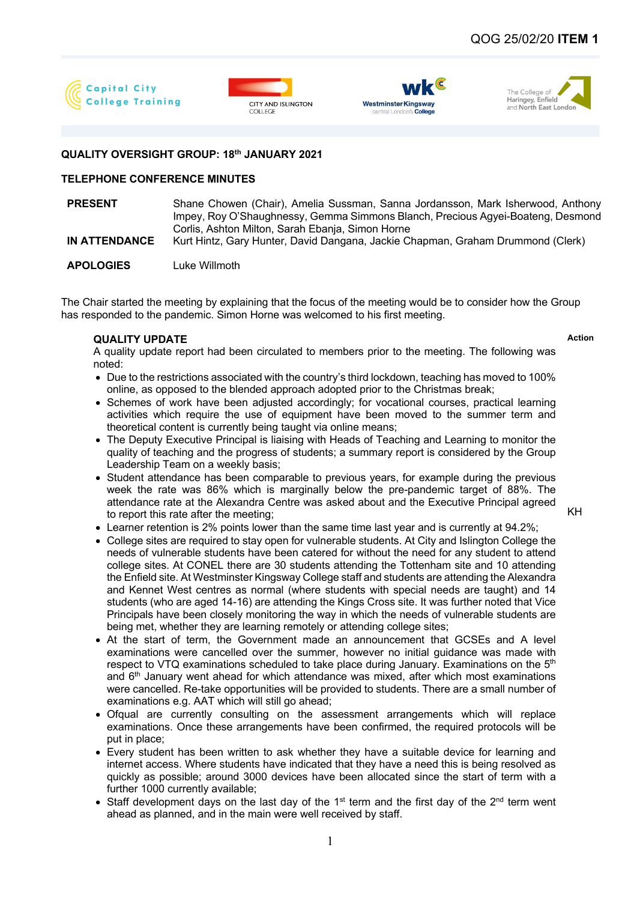







## **QUALITY OVERSIGHT GROUP: 18th JANUARY 2021**

## **TELEPHONE CONFERENCE MINUTES**

**PRESENT** Shane Chowen (Chair), Amelia Sussman, Sanna Jordansson, Mark Isherwood, Anthony Impey, Roy O'Shaughnessy, Gemma Simmons Blanch, Precious Agyei-Boateng, Desmond Corlis, Ashton Milton, Sarah Ebanja, Simon Horne **IN ATTENDANCE** Kurt Hintz, Gary Hunter, David Dangana, Jackie Chapman, Graham Drummond (Clerk)

**APOLOGIES** Luke Willmoth

The Chair started the meeting by explaining that the focus of the meeting would be to consider how the Group has responded to the pandemic. Simon Horne was welcomed to his first meeting.

## **QUALITY UPDATE Action**

- A quality update report had been circulated to members prior to the meeting. The following was noted:
- Due to the restrictions associated with the country's third lockdown, teaching has moved to 100% online, as opposed to the blended approach adopted prior to the Christmas break;
- Schemes of work have been adjusted accordingly; for vocational courses, practical learning activities which require the use of equipment have been moved to the summer term and theoretical content is currently being taught via online means;
- The Deputy Executive Principal is liaising with Heads of Teaching and Learning to monitor the quality of teaching and the progress of students; a summary report is considered by the Group Leadership Team on a weekly basis;
- Student attendance has been comparable to previous vears, for example during the previous week the rate was 86% which is marginally below the pre-pandemic target of 88%. The attendance rate at the Alexandra Centre was asked about and the Executive Principal agreed to report this rate after the meeting;

KH

- Learner retention is 2% points lower than the same time last year and is currently at 94.2%;
- College sites are required to stay open for vulnerable students. At City and Islington College the needs of vulnerable students have been catered for without the need for any student to attend college sites. At CONEL there are 30 students attending the Tottenham site and 10 attending the Enfield site. At Westminster Kingsway College staff and students are attending the Alexandra and Kennet West centres as normal (where students with special needs are taught) and 14 students (who are aged 14-16) are attending the Kings Cross site. It was further noted that Vice Principals have been closely monitoring the way in which the needs of vulnerable students are being met, whether they are learning remotely or attending college sites;
- At the start of term, the Government made an announcement that GCSEs and A level examinations were cancelled over the summer, however no initial guidance was made with respect to VTQ examinations scheduled to take place during January. Examinations on the 5<sup>th</sup> and  $6<sup>th</sup>$  January went ahead for which attendance was mixed, after which most examinations were cancelled. Re-take opportunities will be provided to students. There are a small number of examinations e.g. AAT which will still go ahead;
- Ofqual are currently consulting on the assessment arrangements which will replace examinations. Once these arrangements have been confirmed, the required protocols will be put in place;
- Every student has been written to ask whether they have a suitable device for learning and internet access. Where students have indicated that they have a need this is being resolved as quickly as possible; around 3000 devices have been allocated since the start of term with a further 1000 currently available;
- Staff development days on the last day of the 1<sup>st</sup> term and the first day of the 2<sup>nd</sup> term went ahead as planned, and in the main were well received by staff.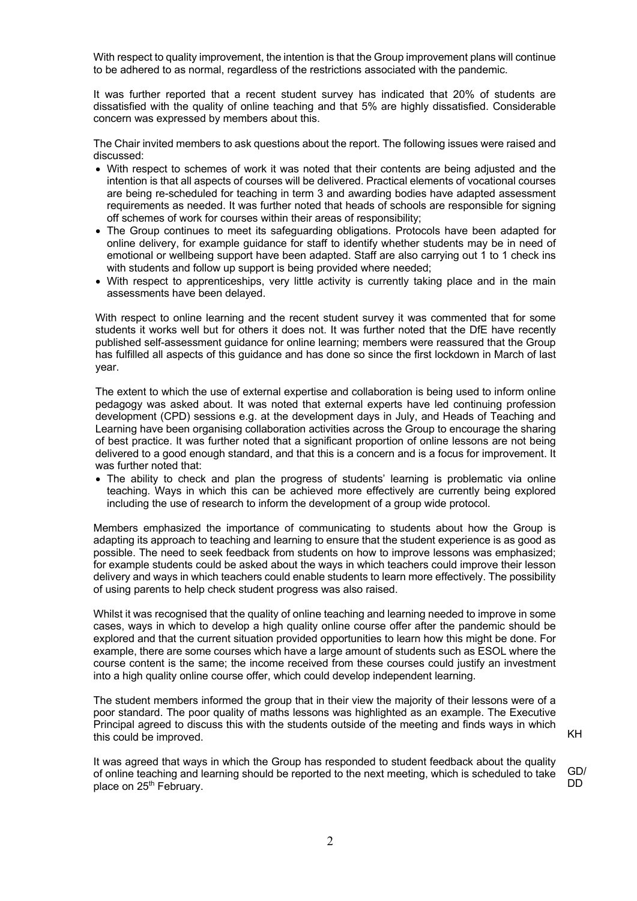With respect to quality improvement, the intention is that the Group improvement plans will continue to be adhered to as normal, regardless of the restrictions associated with the pandemic.

It was further reported that a recent student survey has indicated that 20% of students are dissatisfied with the quality of online teaching and that 5% are highly dissatisfied. Considerable concern was expressed by members about this.

The Chair invited members to ask questions about the report. The following issues were raised and discussed:

- With respect to schemes of work it was noted that their contents are being adjusted and the intention is that all aspects of courses will be delivered. Practical elements of vocational courses are being re-scheduled for teaching in term 3 and awarding bodies have adapted assessment requirements as needed. It was further noted that heads of schools are responsible for signing off schemes of work for courses within their areas of responsibility;
- The Group continues to meet its safeguarding obligations. Protocols have been adapted for online delivery, for example guidance for staff to identify whether students may be in need of emotional or wellbeing support have been adapted. Staff are also carrying out 1 to 1 check ins with students and follow up support is being provided where needed;
- With respect to apprenticeships, very little activity is currently taking place and in the main assessments have been delayed.

With respect to online learning and the recent student survey it was commented that for some students it works well but for others it does not. It was further noted that the DfE have recently published self-assessment guidance for online learning; members were reassured that the Group has fulfilled all aspects of this guidance and has done so since the first lockdown in March of last year.

The extent to which the use of external expertise and collaboration is being used to inform online pedagogy was asked about. It was noted that external experts have led continuing profession development (CPD) sessions e.g. at the development days in July, and Heads of Teaching and Learning have been organising collaboration activities across the Group to encourage the sharing of best practice. It was further noted that a significant proportion of online lessons are not being delivered to a good enough standard, and that this is a concern and is a focus for improvement. It was further noted that:

• The ability to check and plan the progress of students' learning is problematic via online teaching. Ways in which this can be achieved more effectively are currently being explored including the use of research to inform the development of a group wide protocol.

Members emphasized the importance of communicating to students about how the Group is adapting its approach to teaching and learning to ensure that the student experience is as good as possible. The need to seek feedback from students on how to improve lessons was emphasized; for example students could be asked about the ways in which teachers could improve their lesson delivery and ways in which teachers could enable students to learn more effectively. The possibility of using parents to help check student progress was also raised.

Whilst it was recognised that the quality of online teaching and learning needed to improve in some cases, ways in which to develop a high quality online course offer after the pandemic should be explored and that the current situation provided opportunities to learn how this might be done. For example, there are some courses which have a large amount of students such as ESOL where the course content is the same; the income received from these courses could justify an investment into a high quality online course offer, which could develop independent learning.

The student members informed the group that in their view the majority of their lessons were of a poor standard. The poor quality of maths lessons was highlighted as an example. The Executive Principal agreed to discuss this with the students outside of the meeting and finds ways in which this could be improved.

It was agreed that ways in which the Group has responded to student feedback about the quality of online teaching and learning should be reported to the next meeting, which is scheduled to take place on 25<sup>th</sup> February. GD/ DD

KH